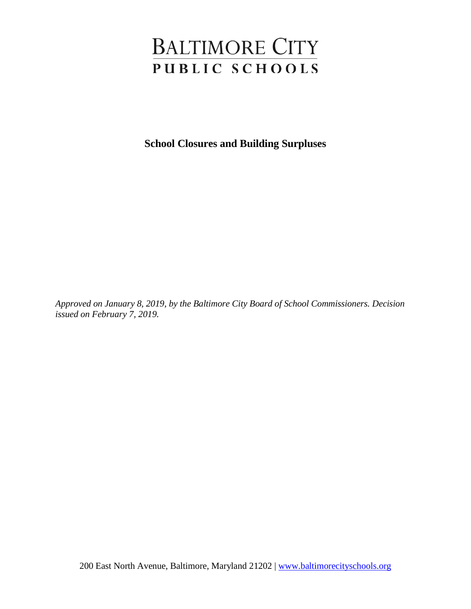# **BALTIMORE CITY** PUBLIC SCHOOLS

**School Closures and Building Surpluses**

*Approved on January 8, 2019, by the Baltimore City Board of School Commissioners. Decision issued on February 7, 2019.*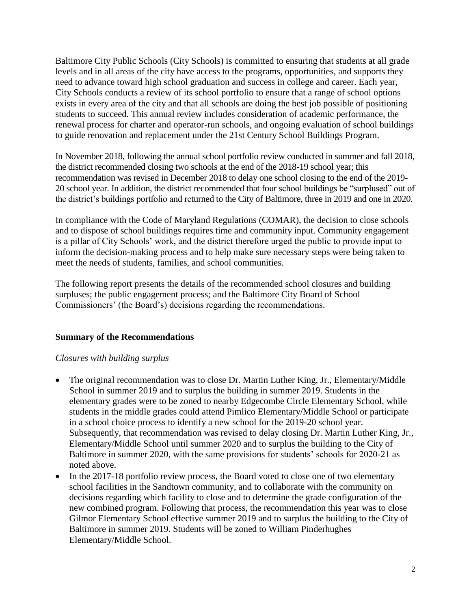Baltimore City Public Schools (City Schools) is committed to ensuring that students at all grade levels and in all areas of the city have access to the programs, opportunities, and supports they need to advance toward high school graduation and success in college and career. Each year, City Schools conducts a review of its school portfolio to ensure that a range of school options exists in every area of the city and that all schools are doing the best job possible of positioning students to succeed. This annual review includes consideration of academic performance, the renewal process for charter and operator-run schools, and ongoing evaluation of school buildings to guide renovation and replacement under the 21st Century School Buildings Program.

In November 2018, following the annual school portfolio review conducted in summer and fall 2018, the district recommended closing two schools at the end of the 2018-19 school year; this recommendation was revised in December 2018 to delay one school closing to the end of the 2019- 20 school year. In addition, the district recommended that four school buildings be "surplused" out of the district's buildings portfolio and returned to the City of Baltimore, three in 2019 and one in 2020.

In compliance with the Code of Maryland Regulations (COMAR), the decision to close schools and to dispose of school buildings requires time and community input. Community engagement is a pillar of City Schools' work, and the district therefore urged the public to provide input to inform the decision-making process and to help make sure necessary steps were being taken to meet the needs of students, families, and school communities.

The following report presents the details of the recommended school closures and building surpluses; the public engagement process; and the Baltimore City Board of School Commissioners' (the Board's) decisions regarding the recommendations.

## **Summary of the Recommendations**

#### *Closures with building surplus*

- The original recommendation was to close Dr. Martin Luther King, Jr., Elementary/Middle School in summer 2019 and to surplus the building in summer 2019. Students in the elementary grades were to be zoned to nearby Edgecombe Circle Elementary School, while students in the middle grades could attend Pimlico Elementary/Middle School or participate in a school choice process to identify a new school for the 2019-20 school year. Subsequently, that recommendation was revised to delay closing Dr. Martin Luther King, Jr., Elementary/Middle School until summer 2020 and to surplus the building to the City of Baltimore in summer 2020, with the same provisions for students' schools for 2020-21 as noted above.
- In the 2017-18 portfolio review process, the Board voted to close one of two elementary school facilities in the Sandtown community, and to collaborate with the community on decisions regarding which facility to close and to determine the grade configuration of the new combined program. Following that process, the recommendation this year was to close Gilmor Elementary School effective summer 2019 and to surplus the building to the City of Baltimore in summer 2019. Students will be zoned to William Pinderhughes Elementary/Middle School.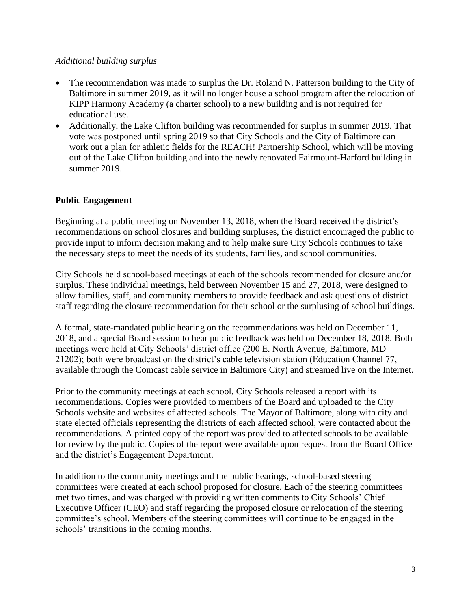#### *Additional building surplus*

- The recommendation was made to surplus the Dr. Roland N. Patterson building to the City of Baltimore in summer 2019, as it will no longer house a school program after the relocation of KIPP Harmony Academy (a charter school) to a new building and is not required for educational use.
- Additionally, the Lake Clifton building was recommended for surplus in summer 2019. That vote was postponed until spring 2019 so that City Schools and the City of Baltimore can work out a plan for athletic fields for the REACH! Partnership School, which will be moving out of the Lake Clifton building and into the newly renovated Fairmount-Harford building in summer 2019.

## **Public Engagement**

Beginning at a public meeting on November 13, 2018, when the Board received the district's recommendations on school closures and building surpluses, the district encouraged the public to provide input to inform decision making and to help make sure City Schools continues to take the necessary steps to meet the needs of its students, families, and school communities.

City Schools held school-based meetings at each of the schools recommended for closure and/or surplus. These individual meetings, held between November 15 and 27, 2018, were designed to allow families, staff, and community members to provide feedback and ask questions of district staff regarding the closure recommendation for their school or the surplusing of school buildings.

A formal, state-mandated public hearing on the recommendations was held on December 11, 2018, and a special Board session to hear public feedback was held on December 18, 2018. Both meetings were held at City Schools' district office (200 E. North Avenue, Baltimore, MD 21202); both were broadcast on the district's cable television station (Education Channel 77, available through the Comcast cable service in Baltimore City) and streamed live on the Internet.

Prior to the community meetings at each school, City Schools released a report with its recommendations. Copies were provided to members of the Board and uploaded to the City Schools website and websites of affected schools. The Mayor of Baltimore, along with city and state elected officials representing the districts of each affected school, were contacted about the recommendations. A printed copy of the report was provided to affected schools to be available for review by the public. Copies of the report were available upon request from the Board Office and the district's Engagement Department.

In addition to the community meetings and the public hearings, school-based steering committees were created at each school proposed for closure. Each of the steering committees met two times, and was charged with providing written comments to City Schools' Chief Executive Officer (CEO) and staff regarding the proposed closure or relocation of the steering committee's school. Members of the steering committees will continue to be engaged in the schools' transitions in the coming months.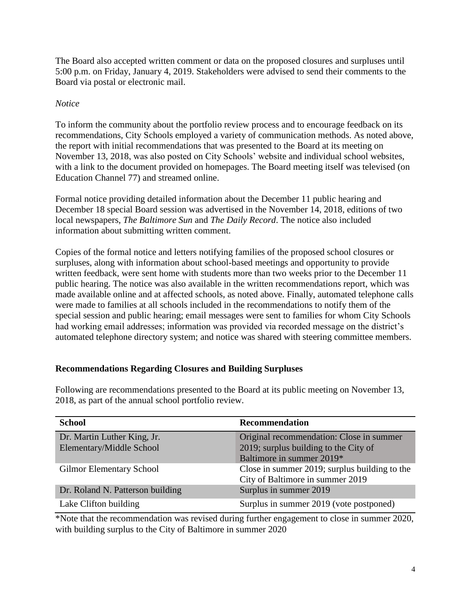The Board also accepted written comment or data on the proposed closures and surpluses until 5:00 p.m. on Friday, January 4, 2019. Stakeholders were advised to send their comments to the Board via postal or electronic mail.

## *Notice*

To inform the community about the portfolio review process and to encourage feedback on its recommendations, City Schools employed a variety of communication methods. As noted above, the report with initial recommendations that was presented to the Board at its meeting on November 13, 2018, was also posted on City Schools' website and individual school websites, with a link to the document provided on homepages. The Board meeting itself was televised (on Education Channel 77) and streamed online.

Formal notice providing detailed information about the December 11 public hearing and December 18 special Board session was advertised in the November 14, 2018, editions of two local newspapers, *The Baltimore Sun* and *The Daily Record*. The notice also included information about submitting written comment.

Copies of the formal notice and letters notifying families of the proposed school closures or surpluses, along with information about school-based meetings and opportunity to provide written feedback, were sent home with students more than two weeks prior to the December 11 public hearing. The notice was also available in the written recommendations report, which was made available online and at affected schools, as noted above. Finally, automated telephone calls were made to families at all schools included in the recommendations to notify them of the special session and public hearing; email messages were sent to families for whom City Schools had working email addresses; information was provided via recorded message on the district's automated telephone directory system; and notice was shared with steering committee members.

## **Recommendations Regarding Closures and Building Surpluses**

| <b>School</b>                    | <b>Recommendation</b>                         |
|----------------------------------|-----------------------------------------------|
| Dr. Martin Luther King, Jr.      | Original recommendation: Close in summer      |
| Elementary/Middle School         | 2019; surplus building to the City of         |
|                                  | Baltimore in summer 2019*                     |
| <b>Gilmor Elementary School</b>  | Close in summer 2019; surplus building to the |
|                                  | City of Baltimore in summer 2019              |
| Dr. Roland N. Patterson building | Surplus in summer 2019                        |
| Lake Clifton building            | Surplus in summer 2019 (vote postponed)       |

Following are recommendations presented to the Board at its public meeting on November 13, 2018, as part of the annual school portfolio review.

\*Note that the recommendation was revised during further engagement to close in summer 2020, with building surplus to the City of Baltimore in summer 2020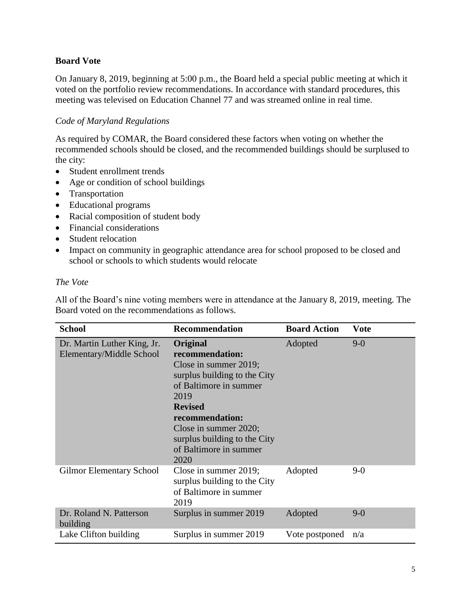## **Board Vote**

On January 8, 2019, beginning at 5:00 p.m., the Board held a special public meeting at which it voted on the portfolio review recommendations. In accordance with standard procedures, this meeting was televised on Education Channel 77 and was streamed online in real time.

#### *Code of Maryland Regulations*

As required by COMAR, the Board considered these factors when voting on whether the recommended schools should be closed, and the recommended buildings should be surplused to the city:

- Student enrollment trends
- Age or condition of school buildings
- Transportation
- Educational programs
- Racial composition of student body
- Financial considerations
- Student relocation
- Impact on community in geographic attendance area for school proposed to be closed and school or schools to which students would relocate

#### *The Vote*

All of the Board's nine voting members were in attendance at the January 8, 2019, meeting. The Board voted on the recommendations as follows.

| <b>School</b>                                           | <b>Recommendation</b>                                                                                                                                                                                                                                  | <b>Board Action</b> | Vote    |
|---------------------------------------------------------|--------------------------------------------------------------------------------------------------------------------------------------------------------------------------------------------------------------------------------------------------------|---------------------|---------|
| Dr. Martin Luther King, Jr.<br>Elementary/Middle School | Original<br>recommendation:<br>Close in summer 2019;<br>surplus building to the City<br>of Baltimore in summer<br>2019<br><b>Revised</b><br>recommendation:<br>Close in summer 2020;<br>surplus building to the City<br>of Baltimore in summer<br>2020 | Adopted             | $9-0$   |
| <b>Gilmor Elementary School</b>                         | Close in summer 2019;<br>surplus building to the City<br>of Baltimore in summer<br>2019                                                                                                                                                                | Adopted             | $9-0$   |
| Dr. Roland N. Patterson<br>building                     | Surplus in summer 2019                                                                                                                                                                                                                                 | Adopted             | $9 - 0$ |
| Lake Clifton building                                   | Surplus in summer 2019                                                                                                                                                                                                                                 | Vote postponed      | n/a     |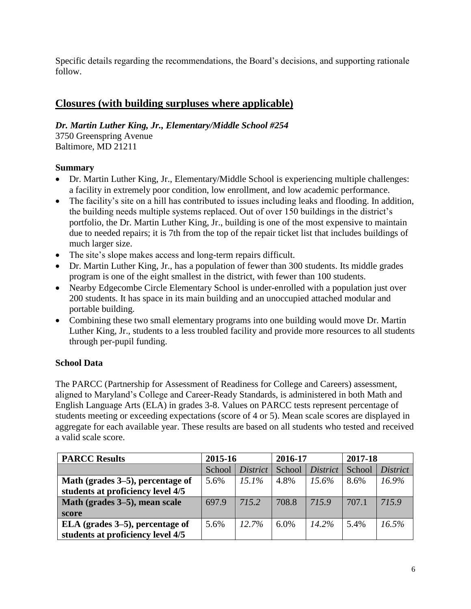Specific details regarding the recommendations, the Board's decisions, and supporting rationale follow.

# **Closures (with building surpluses where applicable)**

*Dr. Martin Luther King, Jr., Elementary/Middle School #254*

3750 Greenspring Avenue Baltimore, MD 21211

## **Summary**

- Dr. Martin Luther King, Jr., Elementary/Middle School is experiencing multiple challenges: a facility in extremely poor condition, low enrollment, and low academic performance.
- The facility's site on a hill has contributed to issues including leaks and flooding. In addition, the building needs multiple systems replaced. Out of over 150 buildings in the district's portfolio, the Dr. Martin Luther King, Jr., building is one of the most expensive to maintain due to needed repairs; it is 7th from the top of the repair ticket list that includes buildings of much larger size.
- The site's slope makes access and long-term repairs difficult.
- Dr. Martin Luther King, Jr., has a population of fewer than 300 students. Its middle grades program is one of the eight smallest in the district, with fewer than 100 students.
- Nearby Edgecombe Circle Elementary School is under-enrolled with a population just over 200 students. It has space in its main building and an unoccupied attached modular and portable building.
- Combining these two small elementary programs into one building would move Dr. Martin Luther King, Jr., students to a less troubled facility and provide more resources to all students through per-pupil funding.

## **School Data**

The PARCC (Partnership for Assessment of Readiness for College and Careers) assessment, aligned to Maryland's College and Career-Ready Standards, is administered in both Math and English Language Arts (ELA) in grades 3-8. Values on PARCC tests represent percentage of students meeting or exceeding expectations (score of 4 or 5). Mean scale scores are displayed in aggregate for each available year. These results are based on all students who tested and received a valid scale score.

| <b>PARCC Results</b>              | 2015-16 |                 | 2016-17 |                 | 2017-18 |                 |
|-----------------------------------|---------|-----------------|---------|-----------------|---------|-----------------|
|                                   | School  | <i>District</i> | School  | <i>District</i> | School  | <i>District</i> |
| Math (grades 3–5), percentage of  | 5.6%    | $15.1\%$        | 4.8%    | $15.6\%$        | 8.6%    | 16.9%           |
| students at proficiency level 4/5 |         |                 |         |                 |         |                 |
| Math (grades 3–5), mean scale     | 697.9   | 715.2           | 708.8   | 715.9           | 707.1   | 715.9           |
| score                             |         |                 |         |                 |         |                 |
| ELA (grades 3–5), percentage of   | 5.6%    | 12.7%           | $6.0\%$ | $14.2\%$        | 5.4%    | 16.5%           |
| students at proficiency level 4/5 |         |                 |         |                 |         |                 |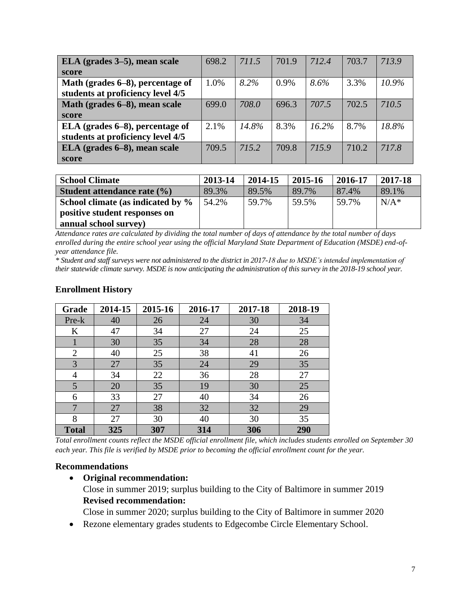| ELA (grades 3–5), mean scale      | 698.2 | 711.5 | 701.9 | 712.4    | 703.7 | 713.9    |
|-----------------------------------|-------|-------|-------|----------|-------|----------|
| score                             |       |       |       |          |       |          |
| Math (grades 6-8), percentage of  | 1.0%  | 8.2%  | 0.9%  | 8.6%     | 3.3%  | $10.9\%$ |
| students at proficiency level 4/5 |       |       |       |          |       |          |
| Math (grades 6–8), mean scale     | 699.0 | 708.0 | 696.3 | 707.5    | 702.5 | 710.5    |
| score                             |       |       |       |          |       |          |
| ELA (grades 6–8), percentage of   | 2.1%  | 14.8% | 8.3%  | $16.2\%$ | 8.7%  | 18.8%    |
| students at proficiency level 4/5 |       |       |       |          |       |          |
| ELA (grades 6–8), mean scale      | 709.5 | 715.2 | 709.8 | 715.9    | 710.2 | 717.8    |
| score                             |       |       |       |          |       |          |

| <b>School Climate</b>             | 2013-14 | 2014-15 | 2015-16 | 2016-17 | 2017-18 |
|-----------------------------------|---------|---------|---------|---------|---------|
| Student attendance rate (%)       | 89.3%   | 89.5%   | 89.7%   | 87.4%   | 89.1%   |
| School climate (as indicated by % | 54.2%   | 59.7%   | 59.5%   | 59.7%   | $N/A^*$ |
| positive student responses on     |         |         |         |         |         |
| annual school survey)             |         |         |         |         |         |

*Attendance rates are calculated by dividing the total number of days of attendance by the total number of days enrolled during the entire school year using the official Maryland State Department of Education (MSDE) end-ofyear attendance file.*

*\* Student and staff surveys were not administered to the district in 2017-18 due to MSDE's intended implementation of their statewide climate survey. MSDE is now anticipating the administration of this survey in the 2018-19 school year.* 

| Grade          | 2014-15 | 2015-16 | 2016-17 | 2017-18 | 2018-19 |
|----------------|---------|---------|---------|---------|---------|
| Pre-k          | 40      | 26      | 24      | 30      | 34      |
| K              | 47      | 34      | 27      | 24      | 25      |
|                | 30      | 35      | 34      | 28      | 28      |
| $\overline{2}$ | 40      | 25      | 38      | 41      | 26      |
| 3              | 27      | 35      | 24      | 29      | 35      |
| 4              | 34      | 22      | 36      | 28      | 27      |
| 5              | 20      | 35      | 19      | 30      | 25      |
| 6              | 33      | 27      | 40      | 34      | 26      |
| $\mathbf{7}$   | 27      | 38      | 32      | 32      | 29      |
| 8              | 27      | 30      | 40      | 30      | 35      |
| <b>Total</b>   | 325     | 307     | 314     | 306     | 290     |

#### **Enrollment History**

*Total enrollment counts reflect the MSDE official enrollment file, which includes students enrolled on September 30 each year. This file is verified by MSDE prior to becoming the official enrollment count for the year.*

#### **Recommendations**

• **Original recommendation:** Close in summer 2019; surplus building to the City of Baltimore in summer 2019 **Revised recommendation:**

Close in summer 2020; surplus building to the City of Baltimore in summer 2020

• Rezone elementary grades students to Edgecombe Circle Elementary School.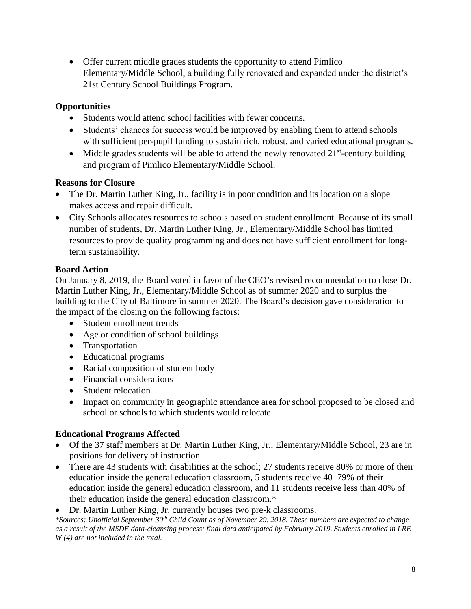• Offer current middle grades students the opportunity to attend Pimlico Elementary/Middle School, a building fully renovated and expanded under the district's 21st Century School Buildings Program.

## **Opportunities**

- Students would attend school facilities with fewer concerns.
- Students' chances for success would be improved by enabling them to attend schools with sufficient per-pupil funding to sustain rich, robust, and varied educational programs.
- Middle grades students will be able to attend the newly renovated  $21<sup>st</sup>$ -century building and program of Pimlico Elementary/Middle School.

## **Reasons for Closure**

- The Dr. Martin Luther King, Jr., facility is in poor condition and its location on a slope makes access and repair difficult.
- City Schools allocates resources to schools based on student enrollment. Because of its small number of students, Dr. Martin Luther King, Jr., Elementary/Middle School has limited resources to provide quality programming and does not have sufficient enrollment for longterm sustainability.

## **Board Action**

On January 8, 2019, the Board voted in favor of the CEO's revised recommendation to close Dr. Martin Luther King, Jr., Elementary/Middle School as of summer 2020 and to surplus the building to the City of Baltimore in summer 2020. The Board's decision gave consideration to the impact of the closing on the following factors:

- Student enrollment trends
- Age or condition of school buildings
- Transportation
- Educational programs
- Racial composition of student body
- Financial considerations
- Student relocation
- Impact on community in geographic attendance area for school proposed to be closed and school or schools to which students would relocate

## **Educational Programs Affected**

- Of the 37 staff members at Dr. Martin Luther King, Jr., Elementary/Middle School, 23 are in positions for delivery of instruction.
- There are 43 students with disabilities at the school: 27 students receive 80% or more of their education inside the general education classroom, 5 students receive 40–79% of their education inside the general education classroom, and 11 students receive less than 40% of their education inside the general education classroom.\*

• Dr. Martin Luther King, Jr. currently houses two pre-k classrooms.

*\*Sources: Unofficial September 30th Child Count as of November 29, 2018. These numbers are expected to change as a result of the MSDE data-cleansing process; final data anticipated by February 2019. Students enrolled in LRE W (4) are not included in the total.*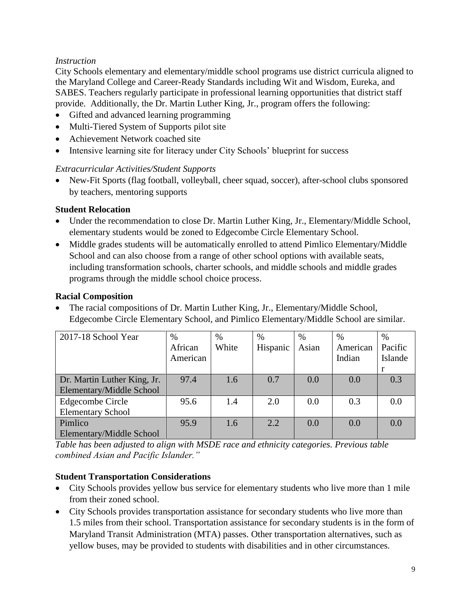## *Instruction*

City Schools elementary and elementary/middle school programs use district curricula aligned to the Maryland College and Career-Ready Standards including Wit and Wisdom, Eureka, and SABES. Teachers regularly participate in professional learning opportunities that district staff provide. Additionally, the Dr. Martin Luther King, Jr., program offers the following:

- Gifted and advanced learning programming
- Multi-Tiered System of Supports pilot site
- Achievement Network coached site
- Intensive learning site for literacy under City Schools' blueprint for success

## *Extracurricular Activities/Student Supports*

• New-Fit Sports (flag football, volleyball, cheer squad, soccer), after-school clubs sponsored by teachers, mentoring supports

## **Student Relocation**

- Under the recommendation to close Dr. Martin Luther King, Jr., Elementary/Middle School, elementary students would be zoned to Edgecombe Circle Elementary School.
- Middle grades students will be automatically enrolled to attend Pimlico Elementary/Middle School and can also choose from a range of other school options with available seats, including transformation schools, charter schools, and middle schools and middle grades programs through the middle school choice process.

## **Racial Composition**

• The racial compositions of Dr. Martin Luther King, Jr., Elementary/Middle School, Edgecombe Circle Elementary School, and Pimlico Elementary/Middle School are similar.

| 2017-18 School Year         | $\%$     | $\%$  | $\%$     | $\%$  | $\%$     | %       |
|-----------------------------|----------|-------|----------|-------|----------|---------|
|                             | African  | White | Hispanic | Asian | American | Pacific |
|                             | American |       |          |       | Indian   | Islande |
|                             |          |       |          |       |          |         |
| Dr. Martin Luther King, Jr. | 97.4     | 1.6   | 0.7      | 0.0   | 0.0      | 0.3     |
| Elementary/Middle School    |          |       |          |       |          |         |
| Edgecombe Circle            | 95.6     | 1.4   | 2.0      | 0.0   | 0.3      | 0.0     |
| <b>Elementary School</b>    |          |       |          |       |          |         |
| Pimlico                     | 95.9     | 1.6   | 2.2      | 0.0   | 0.0      | 0.0     |
| Elementary/Middle School    |          |       |          |       |          |         |

*Table has been adjusted to align with MSDE race and ethnicity categories. Previous table combined Asian and Pacific Islander."*

## **Student Transportation Considerations**

- City Schools provides yellow bus service for elementary students who live more than 1 mile from their zoned school.
- City Schools provides transportation assistance for secondary students who live more than 1.5 miles from their school. Transportation assistance for secondary students is in the form of Maryland Transit Administration (MTA) passes. Other transportation alternatives, such as yellow buses, may be provided to students with disabilities and in other circumstances.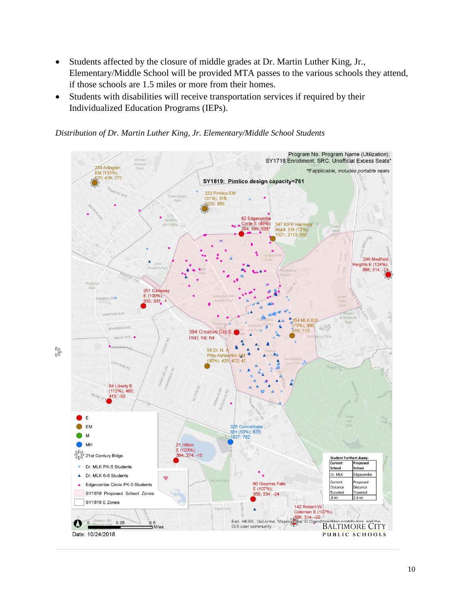- Students affected by the closure of middle grades at Dr. Martin Luther King, Jr., Elementary/Middle School will be provided MTA passes to the various schools they attend, if those schools are 1.5 miles or more from their homes.
- Students with disabilities will receive transportation services if required by their Individualized Education Programs (IEPs).

Program No. Program Name (Utilization); SY1718 Enrollment; SRC; Unofficial Excess Seats\* 234 Arlington \*If applicable, includes portable seats EM (133%); 570: 428: 272 SY1819: Pimlico design capacity=761 223 Pimlico EM  $(31\%)$ ; 318;<br> $1020$ ; 886 Park 62 Edge ombe le E (49%); 347 KIPP Harmony Wing Acad. EM (72%);<br>1521; 2113; 592  $\overline{u}$ 249 Medfield leights E (124%); 388: 314: 251 Callaway  $E(100%)$  $(100\%)$ <br>32, 331 **DAKEORD AVE 54 MI K EM**  $3\%)$ ; 306 BOARMAN AVE MALON 19; 113 384 Creative City E  $(na)$ ; na; na BELLE AVE 8 58 Dr. N. Pitts-Ashl **Arton** EN (90%); 425 472  $-47$ 64 Liberty E  $(112\%)$ ; 465;<br>415; -50 E EM 5 ConneXions MH (53%); 875;<br>1637; 762 M  $M<sub>+</sub>$ 21 Hilton E (103%): **SIR**<br>SIR 21st Century Bldgs 4:374. - 10 **Student Furthest Away:** Current **Propos** Dr. MLK PK-5 Students ä School ichool Dr. MLK 6-8 Students Dr. MLK dgecombe  $\blacktriangle$ Current 60 Gwynns Falls Proposed Edgecombe Circle PK-5 Students Distance .<br>Distance E (107%);<br>358; 334; -24 SY1819 Proposed School Zones Traveled Traveled SY1819 E Zones 142 Robert W. Eigin Park Coleman E (107%); Esri, HERE, DeLorme, Mapmy 636; 314; -22<br>Esri, HERE, DeLorme, Mapmy 646, 306; 314; -22<br>GIS unos community sor Mill, etMan contributors  $0.25$  $0.5$ **BALTIMORE CITY** 1 Miles GIS user community

*Distribution of Dr. Martin Luther King, Jr. Elementary/Middle School Students*

Date: 10/24/2018

PUBLIC SCHOOLS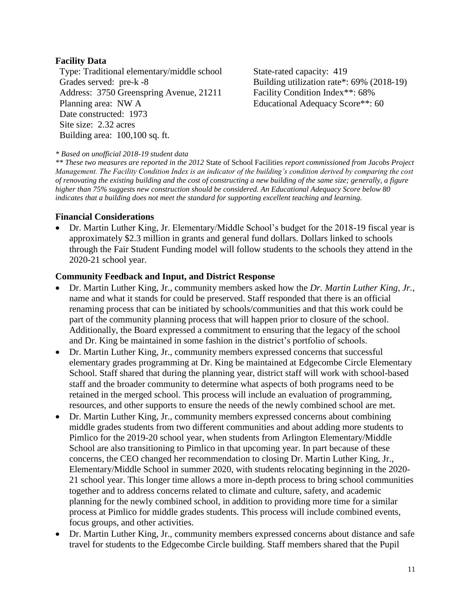#### **Facility Data**

Type: Traditional elementary/middle school State-rated capacity: 419 Grades served: pre-k -8 Building utilization rate\*: 69% (2018-19) Address: 3750 Greenspring Avenue, 21211 Planning area: NW A Date constructed: 1973 Site size: 2.32 acres Building area: 100,100 sq. ft.

Facility Condition Index\*\*: 68% Educational Adequacy Score\*\*: 60

#### *\* Based on unofficial 2018-19 student data*

*\*\* These two measures are reported in the 2012* State of School Facilities *report commissioned from Jacobs Project Management. The Facility Condition Index is an indicator of the building's condition derived by comparing the cost of renovating the existing building and the cost of constructing a new building of the same size; generally, a figure higher than 75% suggests new construction should be considered. An Educational Adequacy Score below 80 indicates that a building does not meet the standard for supporting excellent teaching and learning.*

#### **Financial Considerations**

• Dr. Martin Luther King, Jr. Elementary/Middle School's budget for the 2018-19 fiscal year is approximately \$2.3 million in grants and general fund dollars. Dollars linked to schools through the Fair Student Funding model will follow students to the schools they attend in the 2020-21 school year.

#### **Community Feedback and Input, and District Response**

- Dr. Martin Luther King, Jr., community members asked how the *Dr. Martin Luther King, Jr.*, name and what it stands for could be preserved. Staff responded that there is an official renaming process that can be initiated by schools/communities and that this work could be part of the community planning process that will happen prior to closure of the school. Additionally, the Board expressed a commitment to ensuring that the legacy of the school and Dr. King be maintained in some fashion in the district's portfolio of schools.
- Dr. Martin Luther King, Jr., community members expressed concerns that successful elementary grades programming at Dr. King be maintained at Edgecombe Circle Elementary School. Staff shared that during the planning year, district staff will work with school-based staff and the broader community to determine what aspects of both programs need to be retained in the merged school. This process will include an evaluation of programming, resources, and other supports to ensure the needs of the newly combined school are met.
- Dr. Martin Luther King, Jr., community members expressed concerns about combining middle grades students from two different communities and about adding more students to Pimlico for the 2019-20 school year, when students from Arlington Elementary/Middle School are also transitioning to Pimlico in that upcoming year. In part because of these concerns, the CEO changed her recommendation to closing Dr. Martin Luther King, Jr., Elementary/Middle School in summer 2020, with students relocating beginning in the 2020- 21 school year. This longer time allows a more in-depth process to bring school communities together and to address concerns related to climate and culture, safety, and academic planning for the newly combined school, in addition to providing more time for a similar process at Pimlico for middle grades students. This process will include combined events, focus groups, and other activities.
- Dr. Martin Luther King, Jr., community members expressed concerns about distance and safe travel for students to the Edgecombe Circle building. Staff members shared that the Pupil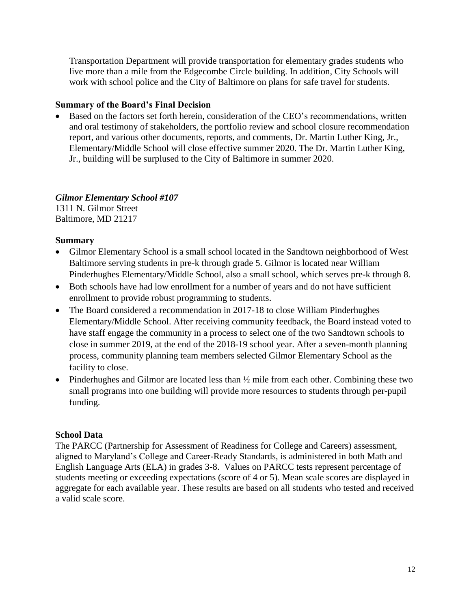Transportation Department will provide transportation for elementary grades students who live more than a mile from the Edgecombe Circle building. In addition, City Schools will work with school police and the City of Baltimore on plans for safe travel for students.

## **Summary of the Board's Final Decision**

• Based on the factors set forth herein, consideration of the CEO's recommendations, written and oral testimony of stakeholders, the portfolio review and school closure recommendation report, and various other documents, reports, and comments, Dr. Martin Luther King, Jr., Elementary/Middle School will close effective summer 2020. The Dr. Martin Luther King, Jr., building will be surplused to the City of Baltimore in summer 2020.

## *Gilmor Elementary School #107*

1311 N. Gilmor Street Baltimore, MD 21217

## **Summary**

- Gilmor Elementary School is a small school located in the Sandtown neighborhood of West Baltimore serving students in pre-k through grade 5. Gilmor is located near William Pinderhughes Elementary/Middle School, also a small school, which serves pre-k through 8.
- Both schools have had low enrollment for a number of years and do not have sufficient enrollment to provide robust programming to students.
- The Board considered a recommendation in 2017-18 to close William Pinderhughes Elementary/Middle School. After receiving community feedback, the Board instead voted to have staff engage the community in a process to select one of the two Sandtown schools to close in summer 2019, at the end of the 2018-19 school year. After a seven-month planning process, community planning team members selected Gilmor Elementary School as the facility to close.
- Pinderhughes and Gilmor are located less than  $\frac{1}{2}$  mile from each other. Combining these two small programs into one building will provide more resources to students through per-pupil funding.

## **School Data**

The PARCC (Partnership for Assessment of Readiness for College and Careers) assessment, aligned to Maryland's College and Career-Ready Standards, is administered in both Math and English Language Arts (ELA) in grades 3-8. Values on PARCC tests represent percentage of students meeting or exceeding expectations (score of 4 or 5). Mean scale scores are displayed in aggregate for each available year. These results are based on all students who tested and received a valid scale score.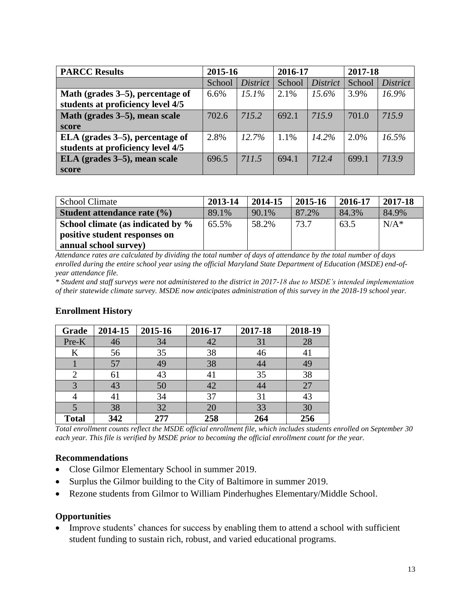| <b>PARCC Results</b>              | 2015-16 |                 | 2016-17 |                 | 2017-18 |                 |
|-----------------------------------|---------|-----------------|---------|-----------------|---------|-----------------|
|                                   | School  | <b>District</b> | School  | <i>District</i> | School  | <i>District</i> |
| Math (grades 3–5), percentage of  | 6.6%    | 15.1%           | 2.1%    | $15.6\%$        | 3.9%    | $16.9\%$        |
| students at proficiency level 4/5 |         |                 |         |                 |         |                 |
| Math (grades 3–5), mean scale     | 702.6   | 715.2           | 692.1   | 715.9           | 701.0   | 715.9           |
| score                             |         |                 |         |                 |         |                 |
| ELA (grades 3–5), percentage of   | 2.8%    | 12.7%           | 1.1%    | $14.2\%$        | 2.0%    | 16.5%           |
| students at proficiency level 4/5 |         |                 |         |                 |         |                 |
| ELA (grades 3–5), mean scale      | 696.5   | 711.5           | 694.1   | 712.4           | 699.1   | 713.9           |
| score                             |         |                 |         |                 |         |                 |

| <b>School Climate</b>             | 2013-14 | 2014-15 | 2015-16 | 2016-17 | 2017-18 |
|-----------------------------------|---------|---------|---------|---------|---------|
| Student attendance rate (%)       | 89.1%   | 90.1%   | 87.2%   | 84.3%   | 84.9%   |
| School climate (as indicated by % | 65.5%   | 58.2%   | 73.7    | 63.5    | $N/A^*$ |
| positive student responses on     |         |         |         |         |         |
| annual school survey)             |         |         |         |         |         |

*Attendance rates are calculated by dividing the total number of days of attendance by the total number of days enrolled during the entire school year using the official Maryland State Department of Education (MSDE) end-ofyear attendance file.*

*\* Student and staff surveys were not administered to the district in 2017-18 due to MSDE's intended implementation of their statewide climate survey. MSDE now anticipates administration of this survey in the 2018-19 school year.* 

| Grade        | 2014-15 | 2015-16 | 2016-17 | 2017-18 | 2018-19 |
|--------------|---------|---------|---------|---------|---------|
| Pre-K        | 46      | 34      | 42      | 31      | 28      |
| K            | 56      | 35      | 38      | 46      | 41      |
|              | 57      | 49      | 38      | 44      | 49      |
|              | 61      | 43      | 41      | 35      | 38      |
| 3            | 43      | 50      | 42      | 44      | 27      |
|              | 41      | 34      | 37      | 31      | 43      |
|              | 38      | 32      | 20      | 33      | 30      |
| <b>Total</b> | 342     | 277     | 258     | 264     | 256     |

## **Enrollment History**

*Total enrollment counts reflect the MSDE official enrollment file, which includes students enrolled on September 30 each year. This file is verified by MSDE prior to becoming the official enrollment count for the year.*

#### **Recommendations**

- Close Gilmor Elementary School in summer 2019.
- Surplus the Gilmor building to the City of Baltimore in summer 2019.
- Rezone students from Gilmor to William Pinderhughes Elementary/Middle School.

#### **Opportunities**

• Improve students' chances for success by enabling them to attend a school with sufficient student funding to sustain rich, robust, and varied educational programs.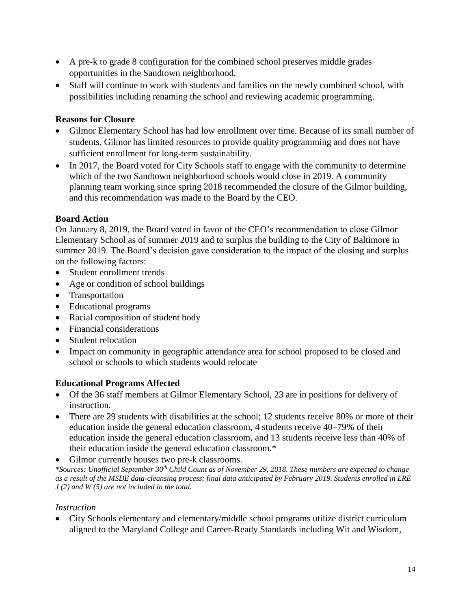- A pre-k to grade 8 configuration for the combined school preserves middle grades opportunities in the Sandtown neighborhood.
- Staff will continue to work with students and families on the newly combined school, with possibilities including renaming the school and reviewing academic programming.

## **Reasons for Closure**

- Gilmor Elementary School has had low enrollment over time. Because of its small number of students, Gilmor has limited resources to provide quality programming and does not have sufficient enrollment for long-term sustainability.
- In 2017, the Board voted for City Schools staff to engage with the community to determine which of the two Sandtown neighborhood schools would close in 2019. A community planning team working since spring 2018 recommended the closure of the Gilmor building, and this recommendation was made to the Board by the CEO.

## **Board Action**

On January 8, 2019, the Board voted in favor of the CEO's recommendation to close Gilmor Elementary School as of summer 2019 and to surplus the building to the City of Baltimore in summer 2019. The Board's decision gave consideration to the impact of the closing and surplus on the following factors:

- Student enrollment trends
- Age or condition of school buildings
- Transportation
- Educational programs
- Racial composition of student body
- Financial considerations
- Student relocation
- Impact on community in geographic attendance area for school proposed to be closed and school or schools to which students would relocate

## **Educational Programs Affected**

- Of the 36 staff members at Gilmor Elementary School, 23 are in positions for delivery of instruction.
- There are 29 students with disabilities at the school; 12 students receive 80% or more of their education inside the general education classroom, 4 students receive 40–79% of their education inside the general education classroom, and 13 students receive less than 40% of their education inside the general education classroom.\*
- Gilmor currently houses two pre-k classrooms.

*\*Sources: Unofficial September 30th Child Count as of November 29, 2018. These numbers are expected to change as a result of the MSDE data-cleansing process; final data anticipated by February 2019. Students enrolled in LRE J (2) and W (5) are not included in the total.* 

## *Instruction*

• City Schools elementary and elementary/middle school programs utilize district curriculum aligned to the Maryland College and Career-Ready Standards including Wit and Wisdom,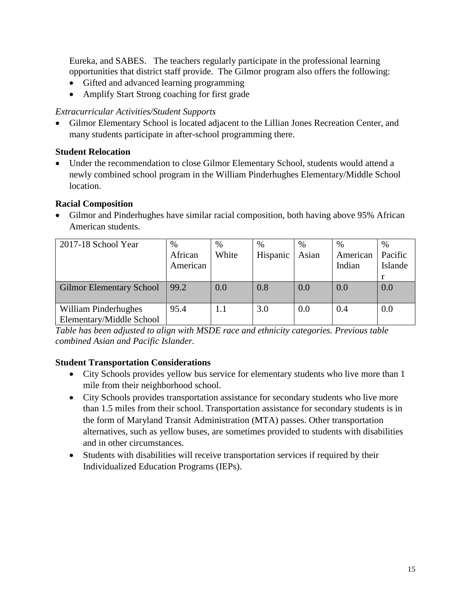Eureka, and SABES. The teachers regularly participate in the professional learning opportunities that district staff provide. The Gilmor program also offers the following:

- Gifted and advanced learning programming
- Amplify Start Strong coaching for first grade

## *Extracurricular Activities/Student Supports*

• Gilmor Elementary School is located adjacent to the Lillian Jones Recreation Center, and many students participate in after-school programming there.

## **Student Relocation**

• Under the recommendation to close Gilmor Elementary School, students would attend a newly combined school program in the William Pinderhughes Elementary/Middle School location.

## **Racial Composition**

• Gilmor and Pinderhughes have similar racial composition, both having above 95% African American students.

| 2017-18 School Year                              | $\%$<br>African<br>American | $\%$<br>White | $\%$<br>Hispanic | %<br>Asian | $\%$<br>American<br>Indian | $\%$<br>Pacific<br>Islande |
|--------------------------------------------------|-----------------------------|---------------|------------------|------------|----------------------------|----------------------------|
|                                                  |                             |               |                  |            |                            |                            |
| <b>Gilmor Elementary School</b>                  | 99.2                        | 0.0           | 0.8              | 0.0        | 0.0                        | 0.0                        |
| William Pinderhughes<br>Elementary/Middle School | 95.4                        | 1.1           | 3.0              | 0.0        | 0.4                        | 0.0                        |

*Table has been adjusted to align with MSDE race and ethnicity categories. Previous table combined Asian and Pacific Islander.*

## **Student Transportation Considerations**

- City Schools provides yellow bus service for elementary students who live more than 1 mile from their neighborhood school.
- City Schools provides transportation assistance for secondary students who live more than 1.5 miles from their school. Transportation assistance for secondary students is in the form of Maryland Transit Administration (MTA) passes. Other transportation alternatives, such as yellow buses, are sometimes provided to students with disabilities and in other circumstances.
- Students with disabilities will receive transportation services if required by their Individualized Education Programs (IEPs).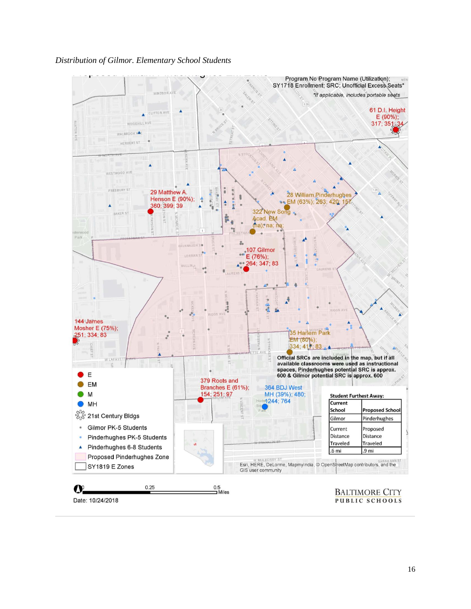#### *Distribution of Gilmor. Elementary School Students*



Date: 10/24/2018

**PUBLIC SCHOOLS**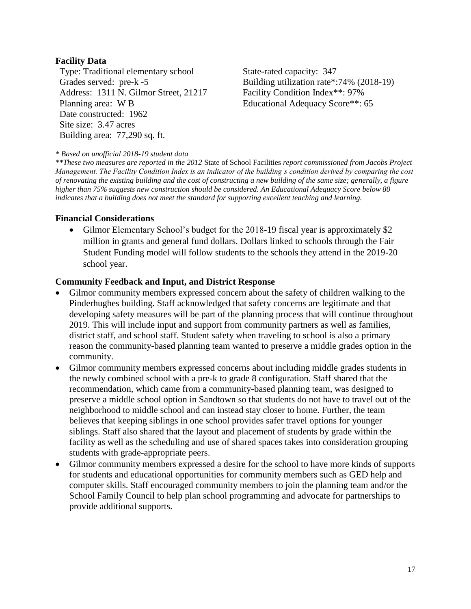#### **Facility Data**

Type: Traditional elementary school State-rated capacity: 347 Address: 1311 N. Gilmor Street, 21217 Planning area: W B Date constructed: 1962 Site size: 3.47 acres Building area: 77,290 sq. ft.

Grades served: pre-k -5 Building utilization rate\*:74% (2018-19) Facility Condition Index\*\*: 97% Educational Adequacy Score\*\*: 65

#### *\* Based on unofficial 2018-19 student data*

*\*\*These two measures are reported in the 2012* State of School Facilities *report commissioned from Jacobs Project Management. The Facility Condition Index is an indicator of the building's condition derived by comparing the cost of renovating the existing building and the cost of constructing a new building of the same size; generally, a figure higher than 75% suggests new construction should be considered. An Educational Adequacy Score below 80 indicates that a building does not meet the standard for supporting excellent teaching and learning.*

#### **Financial Considerations**

• Gilmor Elementary School's budget for the 2018-19 fiscal year is approximately \$2 million in grants and general fund dollars. Dollars linked to schools through the Fair Student Funding model will follow students to the schools they attend in the 2019-20 school year.

#### **Community Feedback and Input, and District Response**

- Gilmor community members expressed concern about the safety of children walking to the Pinderhughes building. Staff acknowledged that safety concerns are legitimate and that developing safety measures will be part of the planning process that will continue throughout 2019. This will include input and support from community partners as well as families, district staff, and school staff. Student safety when traveling to school is also a primary reason the community-based planning team wanted to preserve a middle grades option in the community.
- Gilmor community members expressed concerns about including middle grades students in the newly combined school with a pre-k to grade 8 configuration. Staff shared that the recommendation, which came from a community-based planning team, was designed to preserve a middle school option in Sandtown so that students do not have to travel out of the neighborhood to middle school and can instead stay closer to home. Further, the team believes that keeping siblings in one school provides safer travel options for younger siblings. Staff also shared that the layout and placement of students by grade within the facility as well as the scheduling and use of shared spaces takes into consideration grouping students with grade-appropriate peers.
- Gilmor community members expressed a desire for the school to have more kinds of supports for students and educational opportunities for community members such as GED help and computer skills. Staff encouraged community members to join the planning team and/or the School Family Council to help plan school programming and advocate for partnerships to provide additional supports.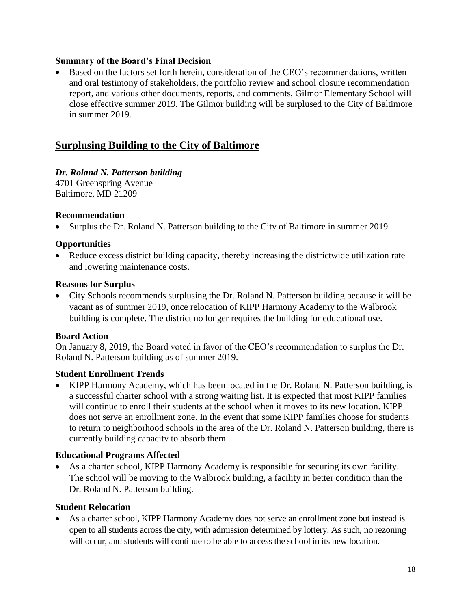#### **Summary of the Board's Final Decision**

• Based on the factors set forth herein, consideration of the CEO's recommendations, written and oral testimony of stakeholders, the portfolio review and school closure recommendation report, and various other documents, reports, and comments, Gilmor Elementary School will close effective summer 2019. The Gilmor building will be surplused to the City of Baltimore in summer 2019.

# **Surplusing Building to the City of Baltimore**

## *Dr. Roland N. Patterson building*

4701 Greenspring Avenue Baltimore, MD 21209

#### **Recommendation**

• Surplus the Dr. Roland N. Patterson building to the City of Baltimore in summer 2019.

#### **Opportunities**

• Reduce excess district building capacity, thereby increasing the districtwide utilization rate and lowering maintenance costs.

#### **Reasons for Surplus**

• City Schools recommends surplusing the Dr. Roland N. Patterson building because it will be vacant as of summer 2019, once relocation of KIPP Harmony Academy to the Walbrook building is complete. The district no longer requires the building for educational use.

#### **Board Action**

On January 8, 2019, the Board voted in favor of the CEO's recommendation to surplus the Dr. Roland N. Patterson building as of summer 2019.

## **Student Enrollment Trends**

• KIPP Harmony Academy, which has been located in the Dr. Roland N. Patterson building, is a successful charter school with a strong waiting list. It is expected that most KIPP families will continue to enroll their students at the school when it moves to its new location. KIPP does not serve an enrollment zone. In the event that some KIPP families choose for students to return to neighborhood schools in the area of the Dr. Roland N. Patterson building, there is currently building capacity to absorb them.

## **Educational Programs Affected**

As a charter school, KIPP Harmony Academy is responsible for securing its own facility. The school will be moving to the Walbrook building, a facility in better condition than the Dr. Roland N. Patterson building.

#### **Student Relocation**

• As a charter school, KIPP Harmony Academy does not serve an enrollment zone but instead is open to all students across the city, with admission determined by lottery. As such, no rezoning will occur, and students will continue to be able to access the school in its new location.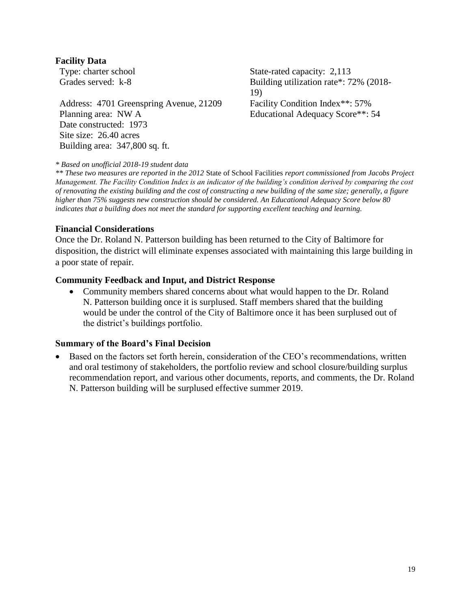#### **Facility Data**

Address: 4701 Greenspring Avenue, 21209 Planning area: NW A Date constructed: 1973 Site size: 26.40 acres Building area: 347,800 sq. ft.

Type: charter school State-rated capacity: 2,113 Grades served: k-8 Building utilization rate\*: 72% (2018-19) Facility Condition Index\*\*: 57% Educational Adequacy Score\*\*: 54

#### *\* Based on unofficial 2018-19 student data*

*\*\* These two measures are reported in the 2012* State of School Facilities *report commissioned from Jacobs Project Management. The Facility Condition Index is an indicator of the building's condition derived by comparing the cost of renovating the existing building and the cost of constructing a new building of the same size; generally, a figure higher than 75% suggests new construction should be considered. An Educational Adequacy Score below 80 indicates that a building does not meet the standard for supporting excellent teaching and learning.*

#### **Financial Considerations**

Once the Dr. Roland N. Patterson building has been returned to the City of Baltimore for disposition, the district will eliminate expenses associated with maintaining this large building in a poor state of repair.

#### **Community Feedback and Input, and District Response**

• Community members shared concerns about what would happen to the Dr. Roland N. Patterson building once it is surplused. Staff members shared that the building would be under the control of the City of Baltimore once it has been surplused out of the district's buildings portfolio.

#### **Summary of the Board's Final Decision**

• Based on the factors set forth herein, consideration of the CEO's recommendations, written and oral testimony of stakeholders, the portfolio review and school closure/building surplus recommendation report, and various other documents, reports, and comments, the Dr. Roland N. Patterson building will be surplused effective summer 2019.